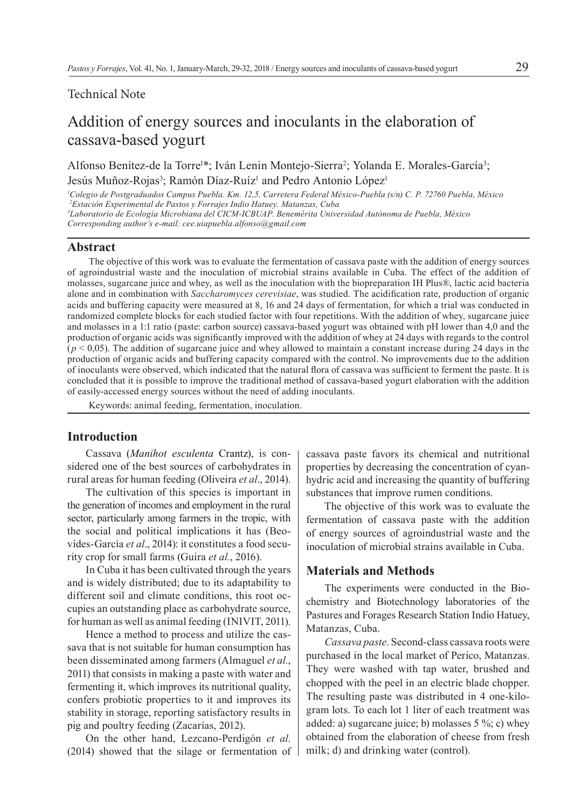#### Technical Note

# Addition of energy sources and inoculants in the elaboration of cassava-based yogurt

Alfonso Benítez-de la Torre<sup>1\*</sup>; Iván Lenin Montejo-Sierra<sup>2</sup>; Yolanda E. Morales-García<sup>3</sup>; Jesús Muñoz-Rojas<sup>3</sup>; Ramón Díaz-Ruíz<sup>i</sup> and Pedro Antonio López<sup>i</sup>

 *Colegio de Postgraduados Campus Puebla. Km. 12,5. Carretera Federal México-Puebla (s/n) C. P. 72760 Puebla, México Estación Experimental de Pastos y Forrajes Indio Hatuey. Matanzas, Cuba Laboratorio de Ecología Microbiana del CICM-ICBUAP. Benemérita Universidad Autónoma de Puebla, México Corresponding author's e-mail: cee.uiapuebla.alfonso@gmail.com*

## **Abstract**

The objective of this work was to evaluate the fermentation of cassava paste with the addition of energy sources of agroindustrial waste and the inoculation of microbial strains available in Cuba. The effect of the addition of molasses, sugarcane juice and whey, as well as the inoculation with the biopreparation IH Plus®, lactic acid bacteria alone and in combination with *Saccharomyces cerevisiae*, was studied. The acidification rate, production of organic acids and buffering capacity were measured at 8, 16 and 24 days of fermentation, for which a trial was conducted in randomized complete blocks for each studied factor with four repetitions. With the addition of whey, sugarcane juice and molasses in a 1:1 ratio (paste: carbon source) cassava-based yogurt was obtained with pH lower than 4,0 and the production of organic acids was significantly improved with the addition of whey at 24 days with regards to the control  $(p < 0.05)$ . The addition of sugarcane juice and whey allowed to maintain a constant increase during 24 days in the production of organic acids and buffering capacity compared with the control. No improvements due to the addition of inoculants were observed, which indicated that the natural flora of cassava was sufficient to ferment the paste. It is concluded that it is possible to improve the traditional method of cassava-based yogurt elaboration with the addition of easily-accessed energy sources without the need of adding inoculants.

Keywords: animal feeding, fermentation, inoculation.

## **Introduction**

Cassava (*Manihot esculenta* Crantz), is considered one of the best sources of carbohydrates in rural areas for human feeding (Oliveira *et al*., 2014).

The cultivation of this species is important in the generation of incomes and employment in the rural sector, particularly among farmers in the tropic, with the social and political implications it has (Beovides-García *et al*., 2014): it constitutes a food security crop for small farms (Guira *et al.*, 2016).

In Cuba it has been cultivated through the years and is widely distributed; due to its adaptability to different soil and climate conditions, this root occupies an outstanding place as carbohydrate source, for human as well as animal feeding (INIVIT, 2011).

Hence a method to process and utilize the cassava that is not suitable for human consumption has been disseminated among farmers (Almaguel *et al.*, 2011) that consists in making a paste with water and fermenting it, which improves its nutritional quality, confers probiotic properties to it and improves its stability in storage, reporting satisfactory results in pig and poultry feeding (Zacarías, 2012).

On the other hand, Lezcano-Perdigón *et al*. (2014) showed that the silage or fermentation of cassava paste favors its chemical and nutritional properties by decreasing the concentration of cyanhydric acid and increasing the quantity of buffering substances that improve rumen conditions.

The objective of this work was to evaluate the fermentation of cassava paste with the addition of energy sources of agroindustrial waste and the inoculation of microbial strains available in Cuba.

#### **Materials and Methods**

The experiments were conducted in the Biochemistry and Biotechnology laboratories of the Pastures and Forages Research Station Indio Hatuey, Matanzas, Cuba.

*Cassava paste*. Second-class cassava roots were purchased in the local market of Perico, Matanzas. They were washed with tap water, brushed and chopped with the peel in an electric blade chopper. The resulting paste was distributed in 4 one-kilogram lots. To each lot 1 liter of each treatment was added: a) sugarcane juice; b) molasses 5 %; c) whey obtained from the elaboration of cheese from fresh milk; d) and drinking water (control).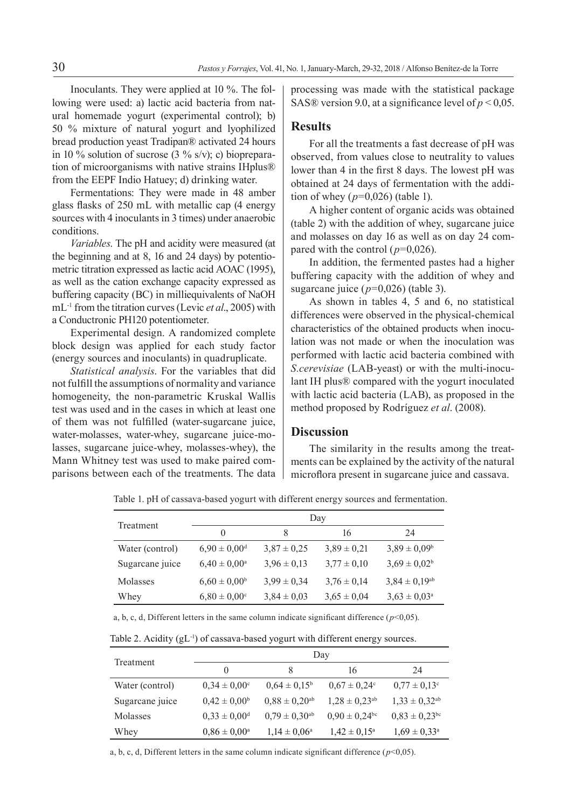Inoculants. They were applied at 10 %. The following were used: a) lactic acid bacteria from natural homemade yogurt (experimental control); b) 50 % mixture of natural yogurt and lyophilized bread production yeast Tradipan® activated 24 hours in 10 % solution of sucrose  $(3 \frac{9}{6} s/v)$ ; c) biopreparation of microorganisms with native strains IHplus® from the EEPF Indio Hatuey; d) drinking water.

Fermentations: They were made in 48 amber glass flasks of 250 mL with metallic cap (4 energy sources with 4 inoculants in 3 times) under anaerobic conditions.

*Variables*. The pH and acidity were measured (at the beginning and at 8, 16 and 24 days) by potentiometric titration expressed as lactic acid AOAC (1995), as well as the cation exchange capacity expressed as buffering capacity (BC) in milliequivalents of NaOH mL-1 from the titration curves (Levic *et al*., 2005) with a Conductronic PH120 potentiometer.

Experimental design. A randomized complete block design was applied for each study factor (energy sources and inoculants) in quadruplicate.

*Statistical analysis*. For the variables that did not fulfill the assumptions of normality and variance homogeneity, the non-parametric Kruskal Wallis test was used and in the cases in which at least one of them was not fulfilled (water-sugarcane juice, water-molasses, water-whey, sugarcane juice-molasses, sugarcane juice-whey, molasses-whey), the Mann Whitney test was used to make paired comparisons between each of the treatments. The data processing was made with the statistical package SAS® version 9.0, at a significance level of  $p < 0.05$ .

# **Results**

For all the treatments a fast decrease of pH was observed, from values close to neutrality to values lower than 4 in the first 8 days. The lowest pH was obtained at 24 days of fermentation with the addition of whey (*p*=0,026) (table 1).

A higher content of organic acids was obtained (table 2) with the addition of whey, sugarcane juice and molasses on day 16 as well as on day 24 compared with the control  $(p=0,026)$ .

In addition, the fermented pastes had a higher buffering capacity with the addition of whey and sugarcane juice  $(p=0.026)$  (table 3).

As shown in tables 4, 5 and 6, no statistical differences were observed in the physical-chemical characteristics of the obtained products when inoculation was not made or when the inoculation was performed with lactic acid bacteria combined with *S.cerevisiae* (LAB-yeast) or with the multi-inoculant IH plus® compared with the yogurt inoculated with lactic acid bacteria (LAB), as proposed in the method proposed by Rodríguez *et al*. (2008).

## **Discussion**

The similarity in the results among the treatments can be explained by the activity of the natural microflora present in sugarcane juice and cassava.

Table 1. pH of cassava-based yogurt with different energy sources and fermentation.

| Treatment       | Day                          |                 |                 |                         |
|-----------------|------------------------------|-----------------|-----------------|-------------------------|
|                 | $\theta$                     | 8               | 16              | 24                      |
| Water (control) | $6,90 \pm 0,00$ <sup>d</sup> | $3.87 \pm 0.25$ | $3.89 \pm 0.21$ | $3,89 \pm 0,09^{\rm b}$ |
| Sugarcane juice | $6,40 \pm 0,00^{\rm a}$      | $3.96 \pm 0.13$ | $3.77 \pm 0.10$ | $3,69 \pm 0,02^b$       |
| Molasses        | $6,60 \pm 0,00^{\rm b}$      | $3.99 \pm 0.34$ | $3.76 \pm 0.14$ | $3,84 \pm 0,19^{ab}$    |
| Whey            | $6,80 \pm 0,00^{\circ}$      | $3,84 \pm 0,03$ | $3,65 \pm 0,04$ | $3,63 \pm 0,03^{\rm a}$ |

a, b, c, d, Different letters in the same column indicate significant difference  $(p<0.05)$ .

Table 2. Acidity (gL<sup>-1</sup>) of cassava-based yogurt with different energy sources.

| Treatment       | Day                          |                               |                               |                               |
|-----------------|------------------------------|-------------------------------|-------------------------------|-------------------------------|
|                 | $\Omega$                     |                               | 16                            | 24                            |
| Water (control) | $0.34 \pm 0.00^{\circ}$      | $0.64 \pm 0.15^{\circ}$       | $0.67 \pm 0.24$ °             | $0.77 \pm 0.13$ °             |
| Sugarcane juice | $0,42 \pm 0,00^6$            | $0.88 \pm 0.20$ <sup>ab</sup> | $1,28 \pm 0,23^{ab}$          | $1,33 \pm 0,32^{ab}$          |
| Molasses        | $0,33 \pm 0,00$ <sup>d</sup> | $0,79 \pm 0,30^{ab}$          | $0.90 \pm 0.24$ <sup>bc</sup> | $0.83 \pm 0.23$ <sup>bc</sup> |
| Whey            | $0.86 \pm 0.00^{\circ}$      | $1,14 \pm 0,06^{\circ}$       | $1,42 \pm 0,15^{\circ}$       | $1,69 \pm 0,33^{\circ}$       |

a, b, c, d, Different letters in the same column indicate significant difference  $(p<0.05)$ .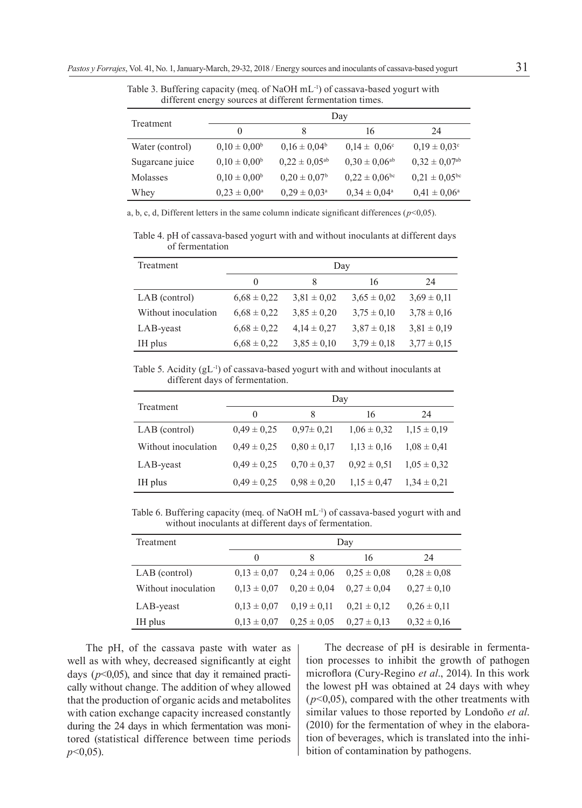Table 3. Buffering capacity (meq. of NaOH mL-1) of cassava-based yogurt with different energy sources at different fermentation times.

| Treatment       | Day                     |                            |                               |                               |  |
|-----------------|-------------------------|----------------------------|-------------------------------|-------------------------------|--|
|                 | $\theta$                | 8                          | 16                            | 24                            |  |
| Water (control) | $0,10 \pm 0,00^{\rm b}$ | $0.16 \pm 0.04^b$          | $0.14 \pm 0.06^{\circ}$       | $0.19 \pm 0.03$ <sup>c</sup>  |  |
| Sugarcane juice | $0.10 \pm 0.00^b$       | $0.22 \pm 0.05^{ab}$       | $0.30 \pm 0.06^{ab}$          | $0,32 \pm 0,07$ <sup>ab</sup> |  |
| Molasses        | $0.10 \pm 0.00^b$       | $0.20 \pm 0.07^{\rm b}$    | $0.22 \pm 0.06$ <sup>bc</sup> | $0.21 \pm 0.05$ <sup>bc</sup> |  |
| Whey            | $0.23 \pm 0.00^{\rm a}$ | $0.29 \pm 0.03^{\text{a}}$ | $0.34 \pm 0.04^{\circ}$       | $0.41 \pm 0.06^{\circ}$       |  |

a, b, c, d, Different letters in the same column indicate significant differences ( $p$ <0,05).

Table 4. pH of cassava-based yogurt with and without inoculants at different days of fermentation

| Treatment           | Day             |                 |                 |                 |
|---------------------|-----------------|-----------------|-----------------|-----------------|
|                     | $\theta$        | 8               | 16              | 24              |
| LAB (control)       | $6.68 \pm 0.22$ | $3.81 \pm 0.02$ | $3.65 \pm 0.02$ | $3.69 \pm 0.11$ |
| Without inoculation | $6.68 \pm 0.22$ | $3.85 \pm 0.20$ | $3.75 \pm 0.10$ | $3.78 \pm 0.16$ |
| LAB-yeast           | $6.68 \pm 0.22$ | $4.14 \pm 0.27$ | $3.87 \pm 0.18$ | $3.81 \pm 0.19$ |
| IH plus             | $6,68 \pm 0,22$ | $3,85 \pm 0,10$ | $3.79 \pm 0.18$ | $3.77 \pm 0.15$ |

Table 5. Acidity (gL-1) of cassava-based yogurt with and without inoculants at different days of fermentation.

| Treatment           | Day             |                 |                 |                 |
|---------------------|-----------------|-----------------|-----------------|-----------------|
|                     | $\Omega$        | 8               | 16              | 24              |
| LAB (control)       | $0,49 \pm 0,25$ | $0.97 \pm 0.21$ | $1.06 \pm 0.32$ | $1.15 \pm 0.19$ |
| Without inoculation | $0.49 \pm 0.25$ | $0.80 \pm 0.17$ | $1.13 \pm 0.16$ | $1.08 \pm 0.41$ |
| LAB-yeast           | $0,49 \pm 0,25$ | $0.70 \pm 0.37$ | $0.92 \pm 0.51$ | $1.05 \pm 0.32$ |
| IH plus             | $0.49 \pm 0.25$ | $0.98 \pm 0.20$ | $1,15 \pm 0,47$ | $1,34 \pm 0,21$ |

Table 6. Buffering capacity (meq. of NaOH mL-1) of cassava-based yogurt with and without inoculants at different days of fermentation.

| Treatment           | Day             |                 |                 |                 |
|---------------------|-----------------|-----------------|-----------------|-----------------|
|                     | $_{0}$          | 8               | 16              | 24              |
| LAB (control)       | $0.13 \pm 0.07$ | $0.24 \pm 0.06$ | $0.25 \pm 0.08$ | $0.28 \pm 0.08$ |
| Without inoculation | $0.13 \pm 0.07$ | $0.20 \pm 0.04$ | $0.27 \pm 0.04$ | $0.27 \pm 0.10$ |
| LAB-yeast           | $0.13 \pm 0.07$ | $0.19 \pm 0.11$ | $0.21 \pm 0.12$ | $0.26 \pm 0.11$ |
| IH plus             | $0.13 \pm 0.07$ | $0.25 \pm 0.05$ | $0.27 \pm 0.13$ | $0,32 \pm 0,16$ |

The pH, of the cassava paste with water as well as with whey, decreased significantly at eight days  $(p<0.05)$ , and since that day it remained practically without change. The addition of whey allowed that the production of organic acids and metabolites with cation exchange capacity increased constantly during the 24 days in which fermentation was monitored (statistical difference between time periods *p*<0,05).

The decrease of pH is desirable in fermentation processes to inhibit the growth of pathogen microflora (Cury-Regino *et al*., 2014). In this work the lowest pH was obtained at 24 days with whey  $(p<0.05)$ , compared with the other treatments with similar values to those reported by Londoño *et al*. (2010) for the fermentation of whey in the elaboration of beverages, which is translated into the inhibition of contamination by pathogens.